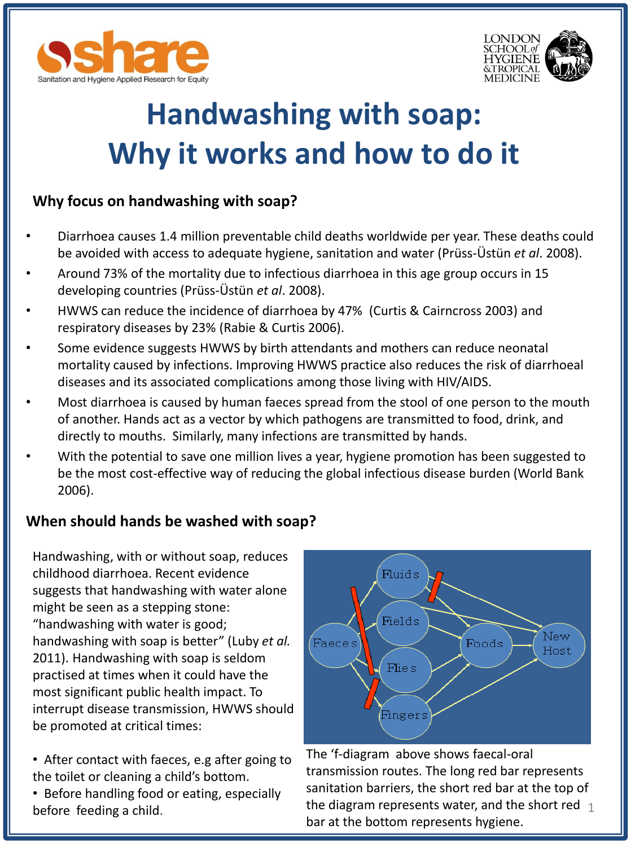



# **Handwashing with soap: Why it works and how to do it**

#### **Why focus on handwashing with soap?**

- Diarrhoea causes 1.4 million preventable child deaths worldwide per year. These deaths could be avoided with access to adequate hygiene, sanitation and water (Prüss-Üstün *et al*. 2008).
- Around 73% of the mortality due to infectious diarrhoea in this age group occurs in 15 developing countries (Prüss-Üstün *et al*. 2008).
- HWWS can reduce the incidence of diarrhoea by 47% (Curtis & Cairncross 2003) and respiratory diseases by 23% (Rabie & Curtis 2006).
- Some evidence suggests HWWS by birth attendants and mothers can reduce neonatal mortality caused by infections. Improving HWWS practice also reduces the risk of diarrhoeal diseases and its associated complications among those living with HIV/AIDS.
- Most diarrhoea is caused by human faeces spread from the stool of one person to the mouth of another. Hands act as a vector by which pathogens are transmitted to food, drink, and directly to mouths. Similarly, many infections are transmitted by hands.
- With the potential to save one million lives a year, hygiene promotion has been suggested to be the most cost-effective way of reducing the global infectious disease burden (World Bank 2006).

#### **When should hands be washed with soap?**

Handwashing, with or without soap, reduces childhood diarrhoea. Recent evidence suggests that handwashing with water alone might be seen as a stepping stone: "handwashing with water is good; handwashing with soap is better" (Luby *et al.*  2011). Handwashing with soap is seldom practised at times when it could have the most significant public health impact. To interrupt disease transmission, HWWS should be promoted at critical times:

- After contact with faeces, e.g after going to the toilet or cleaning a child's bottom.
- Before handling food or eating, especially before feeding a child.



the diagram represents water, and the short red  $\frac{1}{1}$ The 'f-diagram above shows faecal-oral transmission routes. The long red bar represents sanitation barriers, the short red bar at the top of bar at the bottom represents hygiene.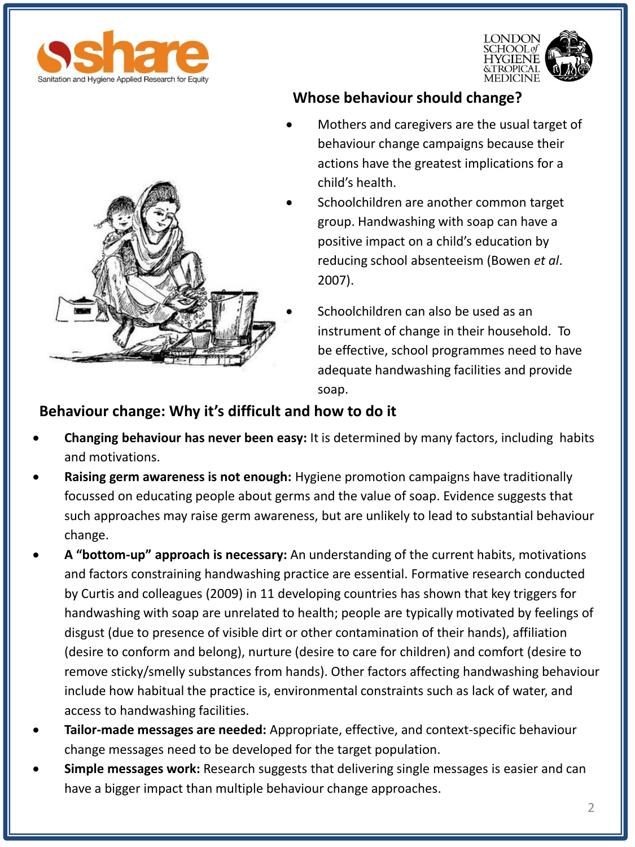





### **Whose behaviour should change?**

- Mothers and caregivers are the usual target of behaviour change campaigns because their actions have the greatest implications for a child's health.
- Schoolchildren are another common target group. Handwashing with soap can have a positive impact on a child's education by reducing school absenteeism (Bowen *et al*. 2007).
	- Schoolchildren can also be used as an instrument of change in their household. To be effective, school programmes need to have adequate handwashing facilities and provide soap.

#### **Behaviour change: Why it's difficult and how to do it**

- **Changing behaviour has never been easy:** It is determined by many factors, including habits and motivations.
- **Raising germ awareness is not enough:** Hygiene promotion campaigns have traditionally focussed on educating people about germs and the value of soap. Evidence suggests that such approaches may raise germ awareness, but are unlikely to lead to substantial behaviour change.
- **A "bottom-up" approach is necessary:** An understanding of the current habits, motivations and factors constraining handwashing practice are essential. Formative research conducted by Curtis and colleagues (2009) in 11 developing countries has shown that key triggers for handwashing with soap are unrelated to health; people are typically motivated by feelings of disgust (due to presence of visible dirt or other contamination of their hands), affiliation (desire to conform and belong), nurture (desire to care for children) and comfort (desire to remove sticky/smelly substances from hands). Other factors affecting handwashing behaviour include how habitual the practice is, environmental constraints such as lack of water, and access to handwashing facilities.
- **Tailor-made messages are needed:** Appropriate, effective, and context-specific behaviour change messages need to be developed for the target population.
- **Simple messages work:** Research suggests that delivering single messages is easier and can have a bigger impact than multiple behaviour change approaches.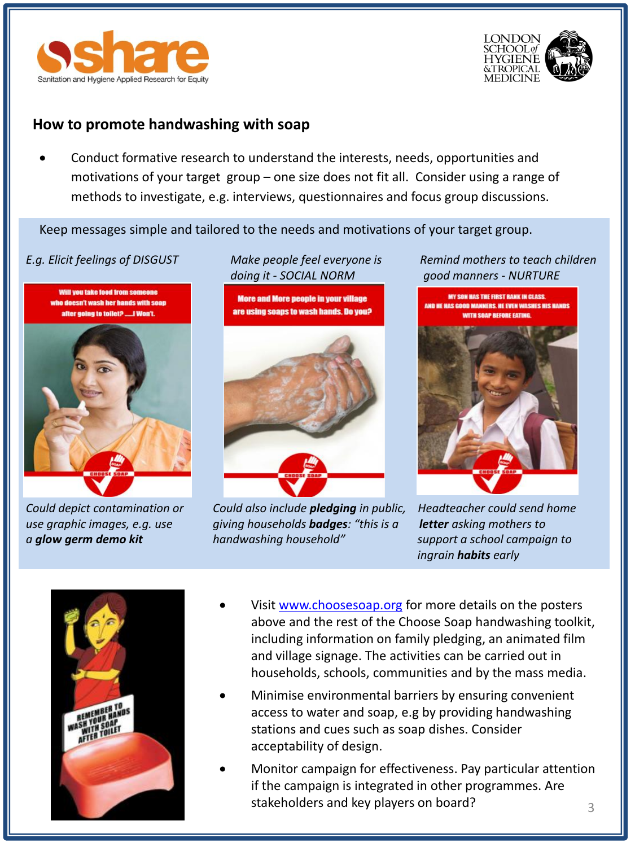



#### **How to promote handwashing with soap**

 Conduct formative research to understand the interests, needs, opportunities and motivations of your target group – one size does not fit all. Consider using a range of methods to investigate, e.g. interviews, questionnaires and focus group discussions.

Keep messages simple and tailored to the needs and motivations of your target group.

Will you take food from someone doesn't wash her hands with soap or going to toilet? ......I Won't.



*doing it - SOCIAL NORM good manners - NURTURE* 

**More and More people in your village** are using soaps to wash hands. Do you?



*Could depict contamination or Could also include pledging in public, Headteacher could send home use graphic images, e.g. use giving households badges: "this is a letter asking mothers to a glow germ demo kit handwashing household" support a school campaign to* 

*E.g. Elicit feelings of DISGUST Make people feel everyone is Remind mothers to teach children* 



*ingrain habits early*



- Visit [www.choosesoap.org](http://www.choosesoap.org/) for more details on the posters above and the rest of the Choose Soap handwashing toolkit, including information on family pledging, an animated film and village signage. The activities can be carried out in households, schools, communities and by the mass media.
- Minimise environmental barriers by ensuring convenient access to water and soap, e.g by providing handwashing stations and cues such as soap dishes. Consider acceptability of design.
- 3 Monitor campaign for effectiveness. Pay particular attention if the campaign is integrated in other programmes. Are stakeholders and key players on board?